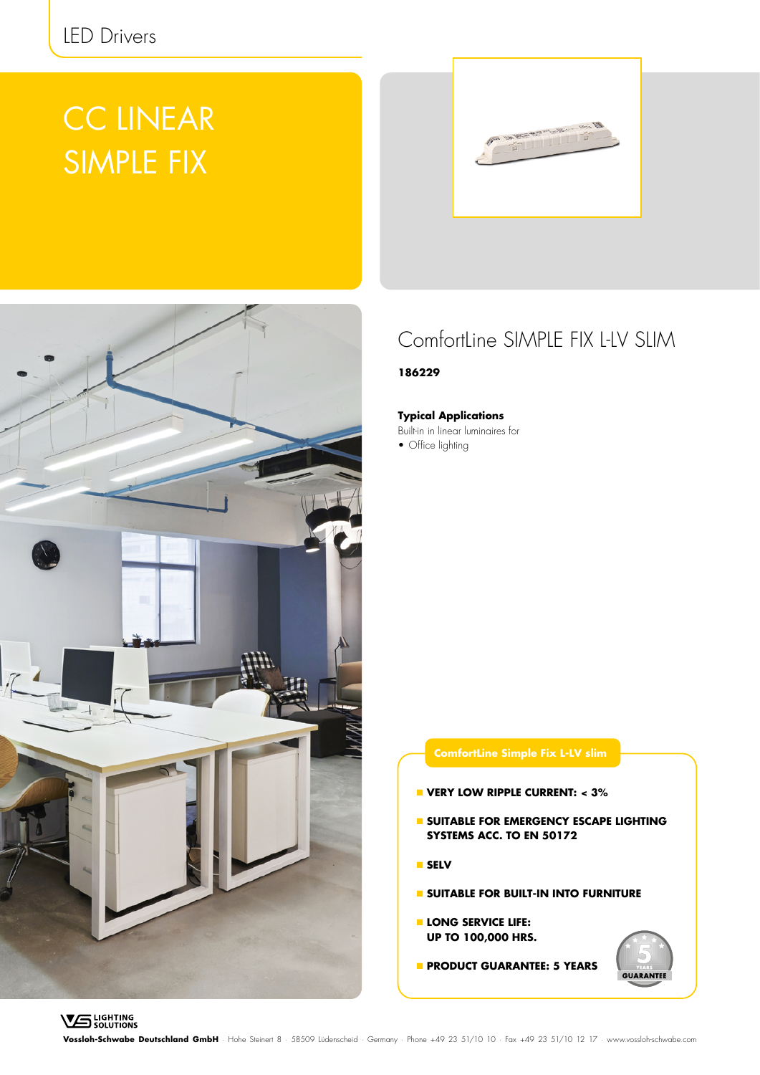# CC LINEAR SIMPLE FIX





### ComfortLine SIMPLE FIX L-LV SLIM

**186229**

**Typical Applications**

Built-in in linear luminaires for

• Office lighting

### **ComfortLine Simple Fix L-LV slim**

- **VERY LOW RIPPLE CURRENT: < 3%**
- **SUITABLE FOR EMERGENCY ESCAPE LIGHTING SYSTEMS ACC. TO EN 50172**
- **SELV**
- **SUITABLE FOR BUILT-IN INTO FURNITURE**
- **LONG SERVICE LIFE: UP TO 100,000 HRS.**
- **PRODUCT GUARANTEE: 5 YEARS**



**VS** LIGHTING

**Vossloh-Schwabe Deutschland GmbH** · Hohe Steinert 8 · 58509 Lüdenscheid · Germany · Phone +49 23 51/10 10 · Fax +49 23 51/10 12 17 · www.vossloh-schwabe.com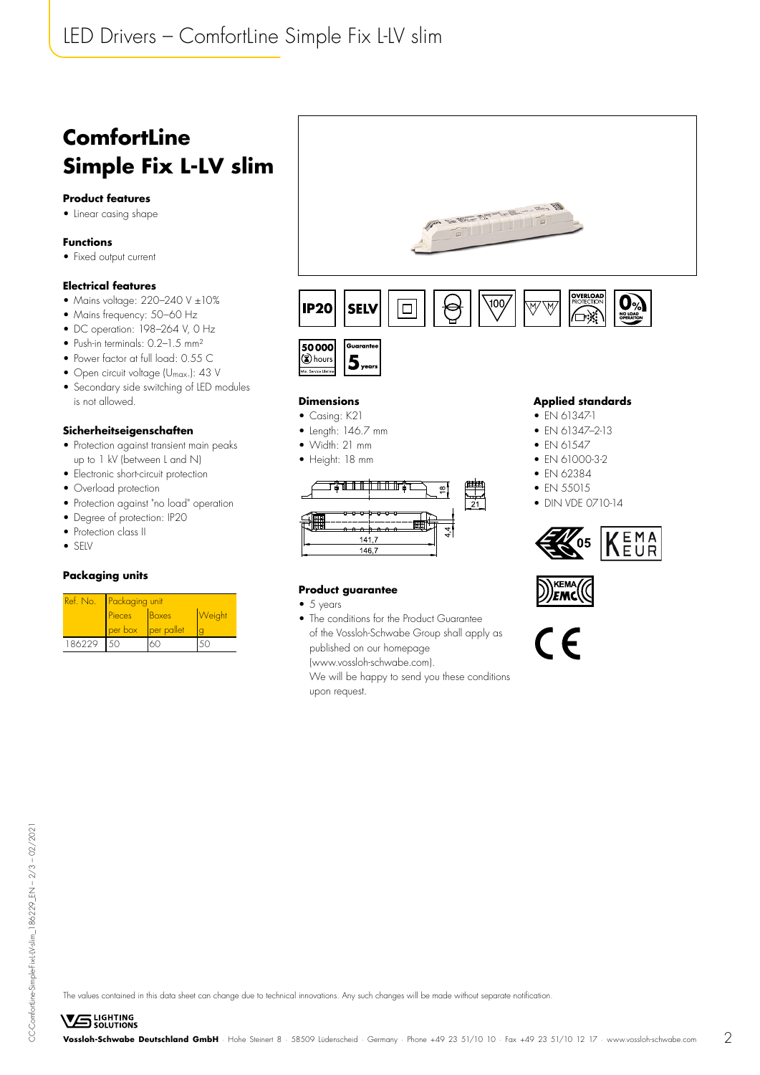## **ComfortLine Simple Fix L-LV slim**

#### **Product features**

• Linear casing shape

#### **Functions**

• Fixed output current

#### **Electrical features**

- Mains voltage: 220-240 V ±10%
- Mains frequency: 50–60 Hz
- DC operation: 198–264 V, 0 Hz
- Push-in terminals: 0.2–1.5 mm²
- Power factor at full load: 0.55 C
- Open circuit voltage (U<sub>max</sub>.): 43 V
- Secondary side switching of LED modules is not allowed.

#### **Sicherheitseigenschaften**

- Protection against transient main peaks up to 1 kV (between L and N)
- Electronic short-circuit protection
- Overload protection
- Protection against "no load" operation
- Degree of protection: IP20
- Protection class II
- SELV

#### **Packaging units**

| Ref. No. | <b>Packaging unit</b> |              |               |  |  |  |
|----------|-----------------------|--------------|---------------|--|--|--|
|          | Pieces                | <b>Boxes</b> | <b>Weight</b> |  |  |  |
|          | per box               | per pallet   |               |  |  |  |
| 186229   | 50                    |              |               |  |  |  |





#### **Dimensions**

- Casing: K21
- Length: 146.7 mm
- Width: 21 mm
- Height: 18 mm



#### **Applied standards**

∕⊟:∢

- EN 61347-1
- EN 61347–2-13
- FN 61547
- EN 61000-3-2
- FN 62384
- FN 55015

KEMA lemc

• DIN VDE 0710-14



#### **Product guarantee**

- 5 years
- The conditions for the Product Guarantee of the Vossloh-Schwabe Group shall apply as published on our homepage (www.vossloh-schwabe.com).

We will be happy to send you these conditions upon request.

CE

CC-ComfortLine-Simple-Fix-LIV-slim\_186229\_EN - 2/3 - 02/2021 CC-ComfortLine-Simple-Fix-L-LV-slim\_186229\_EN – 2/3 – 02/2021

The values contained in this data sheet can change due to technical innovations. Any such changes will be made without separate notification.

**VS** LIGHTING **Vossloh-Schwabe Deutschland GmbH** · Hohe Steinert 8 · 58509 Lüdenscheid · Germany · Phone +49 23 51/10 10 · Fax +49 23 51/10 12 17 · www.vossloh-schwabe.com 2